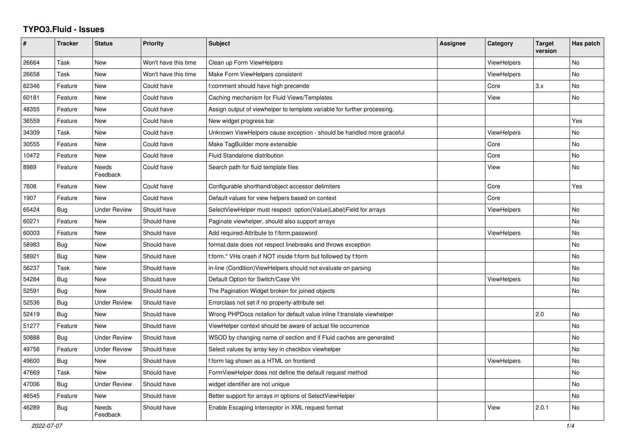## **TYPO3.Fluid - Issues**

| #     | <b>Tracker</b> | <b>Status</b>            | <b>Priority</b>      | <b>Subject</b>                                                           | <b>Assignee</b> | Category           | <b>Target</b><br>version | Has patch |
|-------|----------------|--------------------------|----------------------|--------------------------------------------------------------------------|-----------------|--------------------|--------------------------|-----------|
| 26664 | Task           | New                      | Won't have this time | Clean up Form ViewHelpers                                                |                 | ViewHelpers        |                          | No        |
| 26658 | Task           | New                      | Won't have this time | Make Form ViewHelpers consistent                                         |                 | <b>ViewHelpers</b> |                          | No        |
| 62346 | Feature        | <b>New</b>               | Could have           | f:comment should have high precende                                      |                 | Core               | 3.x                      | No        |
| 60181 | Feature        | <b>New</b>               | Could have           | Caching mechanism for Fluid Views/Templates                              |                 | View               |                          | <b>No</b> |
| 48355 | Feature        | <b>New</b>               | Could have           | Assign output of viewhelper to template variable for further processing. |                 |                    |                          |           |
| 36559 | Feature        | New                      | Could have           | New widget progress bar                                                  |                 |                    |                          | Yes       |
| 34309 | Task           | New                      | Could have           | Unknown ViewHelpers cause exception - should be handled more graceful    |                 | <b>ViewHelpers</b> |                          | No        |
| 30555 | Feature        | New                      | Could have           | Make TagBuilder more extensible                                          |                 | Core               |                          | No        |
| 10472 | Feature        | New                      | Could have           | Fluid Standalone distribution                                            |                 | Core               |                          | No        |
| 8989  | Feature        | <b>Needs</b><br>Feedback | Could have           | Search path for fluid template files                                     |                 | View               |                          | No        |
| 7608  | Feature        | <b>New</b>               | Could have           | Configurable shorthand/object accessor delimiters                        |                 | Core               |                          | Yes       |
| 1907  | Feature        | <b>New</b>               | Could have           | Default values for view helpers based on context                         |                 | Core               |                          |           |
| 65424 | Bug            | <b>Under Review</b>      | Should have          | SelectViewHelper must respect option(Value Label)Field for arrays        |                 | ViewHelpers        |                          | <b>No</b> |
| 60271 | Feature        | New                      | Should have          | Paginate viewhelper, should also support arrays                          |                 |                    |                          | <b>No</b> |
| 60003 | Feature        | New                      | Should have          | Add required-Attribute to f:form.password                                |                 | <b>ViewHelpers</b> |                          | No        |
| 58983 | Bug            | New                      | Should have          | format.date does not respect linebreaks and throws exception             |                 |                    |                          | No        |
| 58921 | Bug            | New                      | Should have          | f:form.* VHs crash if NOT inside f:form but followed by f:form           |                 |                    |                          | No        |
| 56237 | Task           | New                      | Should have          | in-line (Condition) ViewHelpers should not evaluate on parsing           |                 |                    |                          | No        |
| 54284 | Bug            | <b>New</b>               | Should have          | Default Option for Switch/Case VH                                        |                 | ViewHelpers        |                          | No        |
| 52591 | Bug            | <b>New</b>               | Should have          | The Pagination Widget broken for joined objects                          |                 |                    |                          | <b>No</b> |
| 52536 | <b>Bug</b>     | <b>Under Review</b>      | Should have          | Errorclass not set if no property-attribute set                          |                 |                    |                          |           |
| 52419 | Bug            | <b>New</b>               | Should have          | Wrong PHPDocs notation for default value inline f:translate viewhelper   |                 |                    | 2.0                      | <b>No</b> |
| 51277 | Feature        | New                      | Should have          | ViewHelper context should be aware of actual file occurrence             |                 |                    |                          | No        |
| 50888 | Bug            | <b>Under Review</b>      | Should have          | WSOD by changing name of section and if Fluid caches are generated       |                 |                    |                          | No        |
| 49756 | Feature        | <b>Under Review</b>      | Should have          | Select values by array key in checkbox viewhelper                        |                 |                    |                          | No        |
| 49600 | Bug            | <b>New</b>               | Should have          | f:form tag shown as a HTML on frontend                                   |                 | ViewHelpers        |                          | <b>No</b> |
| 47669 | Task           | <b>New</b>               | Should have          | FormViewHelper does not define the default request method                |                 |                    |                          | <b>No</b> |
| 47006 | Bug            | <b>Under Review</b>      | Should have          | widget identifier are not unique                                         |                 |                    |                          | No        |
| 46545 | Feature        | New                      | Should have          | Better support for arrays in options of SelectViewHelper                 |                 |                    |                          | No        |
| 46289 | Bug            | Needs<br>Feedback        | Should have          | Enable Escaping Interceptor in XML request format                        |                 | View               | 2.0.1                    | No        |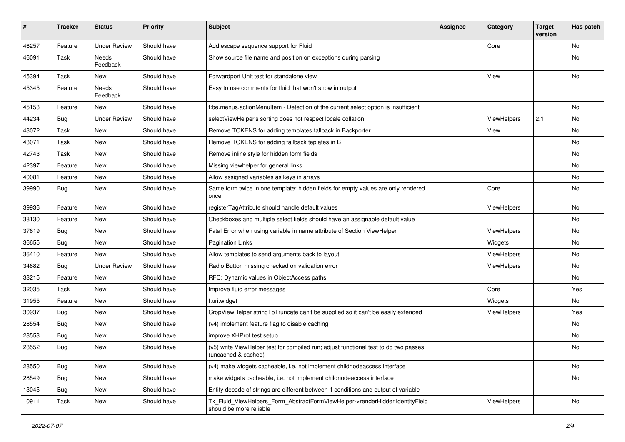| #     | <b>Tracker</b> | <b>Status</b>       | <b>Priority</b> | <b>Subject</b>                                                                                              | <b>Assignee</b> | Category    | <b>Target</b><br>version | Has patch |
|-------|----------------|---------------------|-----------------|-------------------------------------------------------------------------------------------------------------|-----------------|-------------|--------------------------|-----------|
| 46257 | Feature        | <b>Under Review</b> | Should have     | Add escape sequence support for Fluid                                                                       |                 | Core        |                          | <b>No</b> |
| 46091 | Task           | Needs<br>Feedback   | Should have     | Show source file name and position on exceptions during parsing                                             |                 |             |                          | No        |
| 45394 | Task           | New                 | Should have     | Forwardport Unit test for standalone view                                                                   |                 | View        |                          | No        |
| 45345 | Feature        | Needs<br>Feedback   | Should have     | Easy to use comments for fluid that won't show in output                                                    |                 |             |                          |           |
| 45153 | Feature        | New                 | Should have     | f:be.menus.actionMenuItem - Detection of the current select option is insufficient                          |                 |             |                          | No        |
| 44234 | Bug            | <b>Under Review</b> | Should have     | selectViewHelper's sorting does not respect locale collation                                                |                 | ViewHelpers | 2.1                      | No        |
| 43072 | Task           | New                 | Should have     | Remove TOKENS for adding templates fallback in Backporter                                                   |                 | View        |                          | No        |
| 43071 | Task           | New                 | Should have     | Remove TOKENS for adding fallback teplates in B                                                             |                 |             |                          | No        |
| 42743 | Task           | New                 | Should have     | Remove inline style for hidden form fields                                                                  |                 |             |                          | <b>No</b> |
| 42397 | Feature        | New                 | Should have     | Missing viewhelper for general links                                                                        |                 |             |                          | No        |
| 40081 | Feature        | New                 | Should have     | Allow assigned variables as keys in arrays                                                                  |                 |             |                          | No        |
| 39990 | Bug            | New                 | Should have     | Same form twice in one template: hidden fields for empty values are only rendered<br>once                   |                 | Core        |                          | No        |
| 39936 | Feature        | New                 | Should have     | registerTagAttribute should handle default values                                                           |                 | ViewHelpers |                          | No        |
| 38130 | Feature        | New                 | Should have     | Checkboxes and multiple select fields should have an assignable default value                               |                 |             |                          | No        |
| 37619 | Bug            | New                 | Should have     | Fatal Error when using variable in name attribute of Section ViewHelper                                     |                 | ViewHelpers |                          | No        |
| 36655 | Bug            | New                 | Should have     | <b>Pagination Links</b>                                                                                     |                 | Widgets     |                          | <b>No</b> |
| 36410 | Feature        | <b>New</b>          | Should have     | Allow templates to send arguments back to layout                                                            |                 | ViewHelpers |                          | No        |
| 34682 | Bug            | <b>Under Review</b> | Should have     | Radio Button missing checked on validation error                                                            |                 | ViewHelpers |                          | No        |
| 33215 | Feature        | New                 | Should have     | RFC: Dynamic values in ObjectAccess paths                                                                   |                 |             |                          | No        |
| 32035 | Task           | New                 | Should have     | Improve fluid error messages                                                                                |                 | Core        |                          | Yes       |
| 31955 | Feature        | New                 | Should have     | f:uri.widget                                                                                                |                 | Widgets     |                          | No        |
| 30937 | Bug            | New                 | Should have     | CropViewHelper stringToTruncate can't be supplied so it can't be easily extended                            |                 | ViewHelpers |                          | Yes       |
| 28554 | Bug            | New                 | Should have     | (v4) implement feature flag to disable caching                                                              |                 |             |                          | No        |
| 28553 | <b>Bug</b>     | New                 | Should have     | improve XHProf test setup                                                                                   |                 |             |                          | No        |
| 28552 | Bug            | New                 | Should have     | (v5) write ViewHelper test for compiled run; adjust functional test to do two passes<br>(uncached & cached) |                 |             |                          | No        |
| 28550 | Bug            | New                 | Should have     | (v4) make widgets cacheable, i.e. not implement childnodeaccess interface                                   |                 |             |                          | No        |
| 28549 | <b>Bug</b>     | New                 | Should have     | make widgets cacheable, i.e. not implement childnodeaccess interface                                        |                 |             |                          | No        |
| 13045 | <b>Bug</b>     | New                 | Should have     | Entity decode of strings are different between if-conditions and output of variable                         |                 |             |                          |           |
| 10911 | Task           | New                 | Should have     | Tx_Fluid_ViewHelpers_Form_AbstractFormViewHelper->renderHiddenIdentityField<br>should be more reliable      |                 | ViewHelpers |                          | No        |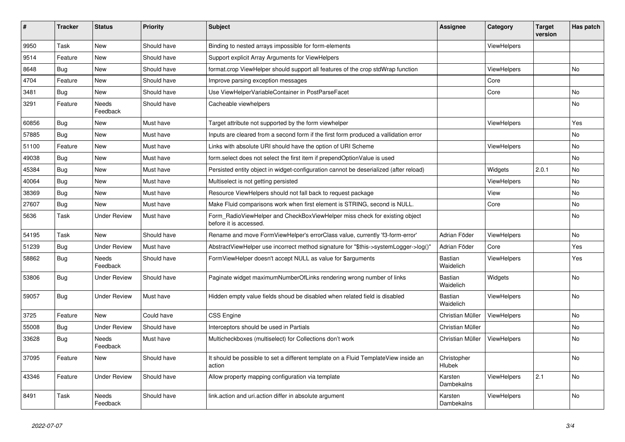| ∦     | <b>Tracker</b> | <b>Status</b>            | <b>Priority</b> | <b>Subject</b>                                                                                       | <b>Assignee</b>             | Category           | <b>Target</b><br>version | Has patch |
|-------|----------------|--------------------------|-----------------|------------------------------------------------------------------------------------------------------|-----------------------------|--------------------|--------------------------|-----------|
| 9950  | Task           | <b>New</b>               | Should have     | Binding to nested arrays impossible for form-elements                                                |                             | ViewHelpers        |                          |           |
| 9514  | Feature        | New                      | Should have     | Support explicit Array Arguments for ViewHelpers                                                     |                             |                    |                          |           |
| 8648  | Bug            | <b>New</b>               | Should have     | format.crop ViewHelper should support all features of the crop stdWrap function                      |                             | ViewHelpers        |                          | <b>No</b> |
| 4704  | Feature        | <b>New</b>               | Should have     | Improve parsing exception messages                                                                   |                             | Core               |                          |           |
| 3481  | <b>Bug</b>     | New                      | Should have     | Use ViewHelperVariableContainer in PostParseFacet                                                    |                             | Core               |                          | No        |
| 3291  | Feature        | Needs<br>Feedback        | Should have     | Cacheable viewhelpers                                                                                |                             |                    |                          | No        |
| 60856 | Bug            | <b>New</b>               | Must have       | Target attribute not supported by the form viewhelper                                                |                             | ViewHelpers        |                          | Yes       |
| 57885 | Bug            | <b>New</b>               | Must have       | Inputs are cleared from a second form if the first form produced a vallidation error                 |                             |                    |                          | No        |
| 51100 | Feature        | <b>New</b>               | Must have       | Links with absolute URI should have the option of URI Scheme                                         |                             | <b>ViewHelpers</b> |                          | No        |
| 49038 | <b>Bug</b>     | <b>New</b>               | Must have       | form select does not select the first item if prependOptionValue is used                             |                             |                    |                          | No        |
| 45384 | Bug            | <b>New</b>               | Must have       | Persisted entity object in widget-configuration cannot be deserialized (after reload)                |                             | Widgets            | 2.0.1                    | <b>No</b> |
| 40064 | Bug            | <b>New</b>               | Must have       | Multiselect is not getting persisted                                                                 |                             | <b>ViewHelpers</b> |                          | No        |
| 38369 | Bug            | <b>New</b>               | Must have       | Resource ViewHelpers should not fall back to request package                                         |                             | View               |                          | No        |
| 27607 | Bug            | <b>New</b>               | Must have       | Make Fluid comparisons work when first element is STRING, second is NULL.                            |                             | Core               |                          | No        |
| 5636  | Task           | <b>Under Review</b>      | Must have       | Form_RadioViewHelper and CheckBoxViewHelper miss check for existing object<br>before it is accessed. |                             |                    |                          | <b>No</b> |
| 54195 | Task           | <b>New</b>               | Should have     | Rename and move FormViewHelper's errorClass value, currently 'f3-form-error'                         | Adrian Föder                | ViewHelpers        |                          | No        |
| 51239 | <b>Bug</b>     | <b>Under Review</b>      | Must have       | AbstractViewHelper use incorrect method signature for "\$this->systemLogger->log()"                  | Adrian Föder                | Core               |                          | Yes       |
| 58862 | Bug            | Needs<br>Feedback        | Should have     | FormViewHelper doesn't accept NULL as value for \$arguments                                          | Bastian<br>Waidelich        | <b>ViewHelpers</b> |                          | Yes       |
| 53806 | Bug            | <b>Under Review</b>      | Should have     | Paginate widget maximumNumberOfLinks rendering wrong number of links                                 | <b>Bastian</b><br>Waidelich | Widgets            |                          | No        |
| 59057 | Bug            | <b>Under Review</b>      | Must have       | Hidden empty value fields shoud be disabled when related field is disabled                           | Bastian<br>Waidelich        | ViewHelpers        |                          | <b>No</b> |
| 3725  | Feature        | <b>New</b>               | Could have      | <b>CSS Engine</b>                                                                                    | Christian Müller            | ViewHelpers        |                          | No        |
| 55008 | <b>Bug</b>     | <b>Under Review</b>      | Should have     | Interceptors should be used in Partials                                                              | Christian Müller            |                    |                          | No        |
| 33628 | Bug            | <b>Needs</b><br>Feedback | Must have       | Multicheckboxes (multiselect) for Collections don't work                                             | Christian Müller            | ViewHelpers        |                          | No        |
| 37095 | Feature        | New                      | Should have     | It should be possible to set a different template on a Fluid TemplateView inside an<br>action        | Christopher<br>Hlubek       |                    |                          | No        |
| 43346 | Feature        | <b>Under Review</b>      | Should have     | Allow property mapping configuration via template                                                    | Karsten<br>Dambekalns       | <b>ViewHelpers</b> | 2.1                      | <b>No</b> |
| 8491  | Task           | <b>Needs</b><br>Feedback | Should have     | link.action and uri.action differ in absolute argument                                               | Karsten<br>Dambekalns       | ViewHelpers        |                          | No        |